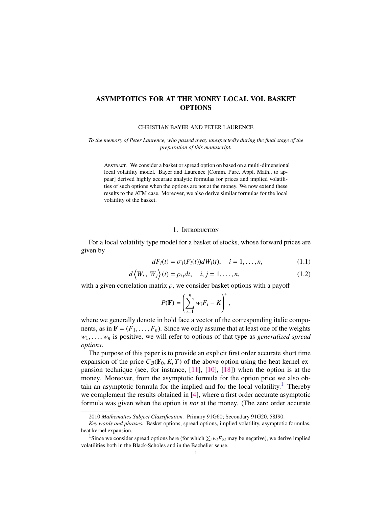# ASYMPTOTICS FOR AT THE MONEY LOCAL VOL BASKET **OPTIONS**

#### CHRISTIAN BAYER AND PETER LAURENCE

*To the memory of Peter Laurence, who passed away unexpectedly during the final stage of the preparation of this manuscript.*

Abstract. We consider a basket or spread option on based on a multi-dimensional local volatility model. Bayer and Laurence [Comm. Pure. Appl. Math., to appear] derived highly accurate analytic formulas for prices and implied volatilities of such options when the options are not at the money. We now extend these results to the ATM case. Moreover, we also derive similar formulas for the local volatility of the basket.

### 1. Introduction

For a local volatility type model for a basket of stocks, whose forward prices are given by

$$
dF_i(t) = \sigma_i(F_i(t))dW_i(t), \quad i = 1, \dots, n,
$$
\n(1.1)

$$
d\left\langle W_i, W_j \right\rangle(t) = \rho_{ij} dt, \quad i, j = 1, \dots, n,
$$
\n(1.2)

with a given correlation matrix  $\rho$ , we consider basket options with a payoff

 $\mathbf{r}$ 

$$
P(\mathbf{F}) = \left(\sum_{i=1}^n w_i F_i - K\right)^+,
$$

where we generally denote in bold face a vector of the corresponding italic components, as in  $F = (F_1, \ldots, F_n)$ . Since we only assume that at least one of the weights  $w_1, \ldots, w_n$  is positive, we will refer to options of that type as *generalized spread options*.

The purpose of this paper is to provide an explicit first order accurate short time expansion of the price  $C_{\mathcal{B}}(\mathbf{F}_0, K, T)$  of the above option using the heat kernel expansion technique (see, for instance, [\[11\]](#page-20-0), [\[10\]](#page-20-1), [\[18\]](#page-20-2)) when the option is at the money. Moreover, from the asymptotic formula for the option price we also ob-tain an asymptotic formula for the implied and for the local volatility.<sup>[1](#page-0-0)</sup> Thereby we complement the results obtained in [\[4\]](#page-19-0), where a first order accurate asymptotic formula was given when the option is *not* at the money. (The zero order accurate

<sup>2010</sup> *Mathematics Subject Classification.* Primary 91G60; Secondary 91G20, 58J90.

*Key words and phrases.* Basket options, spread options, implied volatility, asymptotic formulas, heat kernel expansion.

<span id="page-0-0"></span><sup>&</sup>lt;sup>1</sup>Since we consider spread options here (for which  $\sum_i w_i F_{0,i}$  may be negative), we derive implied volatilities both in the Black-Scholes and in the Bachelier sense.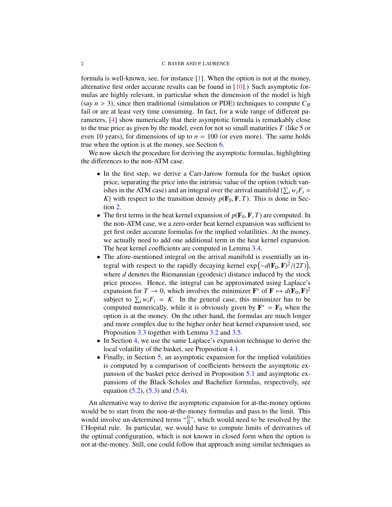#### 2 C. BAYER AND P. LAURENCE

formula is well-known, see, for instance [\[1\]](#page-19-1). When the option is not at the money, alternative first order accurate results can be found in  $[10]$ .) Such asymptotic formulas are highly relevant, in particular when the dimension of the model is high (say  $n > 3$ ), since then traditional (simulation or PDE) techniques to compute  $C_B$ fail or are at least very time consuming. In fact, for a wide range of different parameters, [\[4\]](#page-19-0) show numerically that their asymptotic formula is remarkably close to the true price as given by the model, even for not so small maturities  $T$  (like 5 or even 10 years), for dimensions of up to  $n = 100$  (or even more). The same holds true when the option is at the money, see Section [6.](#page-12-0)

We now sketch the procedure for deriving the asymptotic formulas, highlighting the differences to the non-ATM case.

- In the first step, we derive a Carr-Jarrow formula for the basket option price, separating the price into the intrinsic value of the option (which vanishes in the ATM case) and an integral over the arrival manifold  $\sum_i w_i F_i =$ *K*} with respect to the transition density  $p(\mathbf{F}_0, \mathbf{F}, T)$ . This is done in Section [2.](#page-2-0)
- The first terms in the heat kernel expansion of  $p(\mathbf{F}_0, \mathbf{F}, T)$  are computed. In the non-ATM case, we a zero-order heat kernel expansion was sufficient to get first order accurate formulas for the implied volatilities. At the money, we actually need to add one additional term in the heat kernel expansion. The heat kernel coefficients are computed in Lemma [3.4.](#page-8-0)
- The afore-mentioned integral on the arrival manifold is essentially an integral with respect to the rapidly decaying kernel  $\exp(-d(\mathbf{F}_0, \mathbf{F})^2/(2T))$ ,<br>where *d* denotes the Piemannian (geodesic) distance induced by the stock where *d* denotes the Riemannian (geodesic) distance induced by the stock price process. Hence, the integral can be approximated using Laplace's expansion for  $T \to 0$ , which involves the minimizer  $\mathbf{F}^*$  of  $\mathbf{F} \mapsto d(\mathbf{F}_0, \mathbf{F})^2$ <br>subject to  $\Sigma, w, F = K$ . In the general case, this minimizer has to be subject to  $\sum_i w_i F_i = K$ . In the general case, this minimizer has to be computed numerically, while it is obviously given by  $\mathbf{F}^* = \mathbf{F}_0$  when the option is at the money. On the other hand, the formulas are much longer and more complex due to the higher order heat kernel expansion used, see Proposition [3.3](#page-8-1) together with Lemma [3.2](#page-8-2) and [3.5.](#page-10-0)
- In Section [4,](#page-10-1) we use the same Laplace's expansion technique to derive the local volatility of the basket, see Proposition [4.1.](#page-10-2)
- Finally, in Section [5,](#page-11-0) an asymptotic expansion for the implied volatilities is computed by a comparison of coefficients between the asymptotic expansion of the basket price derived in Proposition [5.1](#page-11-1) and asymptotic expansions of the Black-Scholes and Bachelier formulas, respectively, see equation  $(5.2)$ ,  $(5.3)$  and  $(5.4)$ .

An alternative way to derive the asymptotic expansion for at-the-money options would be to start from the non-at-the-money formulas and pass to the limit. This would involve un-determined terms " $\frac{0}{0}$ ", which would need to be resolved by the l'Hopital rule. In particular, we would have to compute limits of derivatives of the optimal configuration, which is not known in closed form when the option is not at-the-money. Still, one could follow that approach using similar techniques as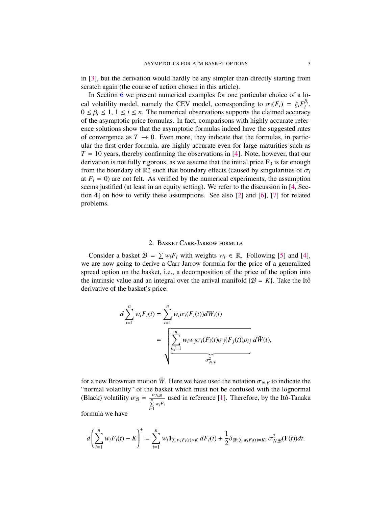in [\[3\]](#page-19-2), but the derivation would hardly be any simpler than directly starting from scratch again (the course of action chosen in this article).

In Section [6](#page-12-0) we present numerical examples for one particular choice of a local volatility model, namely the CEV model, corresponding to  $\sigma_i(F_i) = \xi_i F_i^{\beta_i}$ ,  $0 \le \beta_i \le 1, 1 \le i \le n$ . The numerical observations supports the claimed accuracy  $0 \leq \beta_i \leq 1, 1 \leq i \leq n$ . The numerical observations supports the claimed accuracy of the asymptotic price formulas. In fact, comparisons with highly accurate reference solutions show that the asymptotic formulas indeed have the suggested rates of convergence as  $T \to 0$ . Even more, they indicate that the formulas, in particular the first order formula, are highly accurate even for large maturities such as *T* = 10 years, thereby confirming the observations in [\[4\]](#page-19-0). Note, however, that our derivation is not fully rigorous, as we assume that the initial price  $\mathbf{F}_0$  is far enough from the boundary of  $\mathbb{R}^n_+$  such that boundary effects (caused by singularities of  $\sigma_i$ <br>at  $F_i = 0$ ) are not felt. As verified by the numerical experiments, the assumption at  $F_i = 0$ ) are not felt. As verified by the numerical experiments, the assumption seems justified (at least in an equity setting). We refer to the discussion in [\[4,](#page-19-0) Section 4] on how to verify these assumptions. See also [\[2\]](#page-19-3) and [\[6\]](#page-20-3), [\[7\]](#page-20-4) for related problems.

# 2. Basket Carr-Jarrow formula

<span id="page-2-0"></span>Consider a basket  $\mathcal{B} = \sum w_i F_i$  with weights  $w_i \in \mathbb{R}$ . Following [\[5\]](#page-20-5) and [\[4\]](#page-19-0), we are now going to derive a Carr-Jarrow formula for the price of a generalized spread option on the basket, i.e., a decomposition of the price of the option into the intrinsic value and an integral over the arrival manifold  $\{\mathcal{B} = K\}$ . Take the Itô derivative of the basket's price:

$$
d \sum_{i=1}^{n} w_i F_i(t) = \sum_{i=1}^{n} w_i \sigma_i(F_i(t)) dW_i(t)
$$
  
= 
$$
\sqrt{\sum_{i,j=1}^{n} w_i w_j \sigma_i(F_i(t) \sigma_j(F_j(t)) \rho_{ij} d\bar{W}(t)},
$$

for a new Brownian motion  $\bar{W}$ . Here we have used the notation  $\sigma_{N,B}$  to indicate the "normal volatility" of the basket which must not be confused with the lognormal (Black) volatility  $\sigma_B = \frac{\sigma_{N,B}}{\sum\limits_{i=1}^{n} w_i F_i}$ used in reference [\[1\]](#page-19-1). Therefore, by the Itô-Tanaka

formula we have

$$
d\left(\sum_{i=1}^n w_i F_i(t) - K\right)^+= \sum_{i=1}^n w_i \mathbf{1}_{\sum w_i F_i(t) > K} dF_i(t) + \frac{1}{2}\delta_{\{\mathbf{F}:\sum w_i F_i(t) = K\}} \sigma_{N,\mathcal{B}}^2(\mathbf{F}(t)) dt.
$$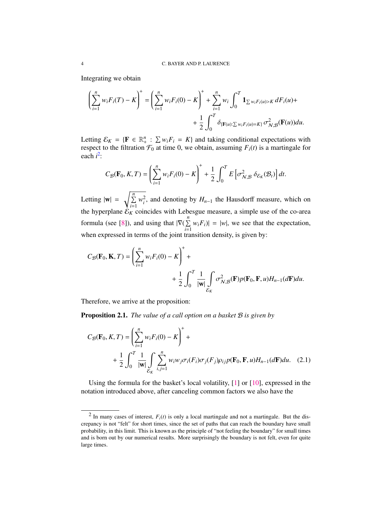Integrating we obtain

$$
\left(\sum_{i=1}^{n} w_{i} F_{i}(T) - K\right)^{+} = \left(\sum_{i=1}^{n} w_{i} F_{i}(0) - K\right)^{+} + \sum_{i=1}^{n} w_{i} \int_{0}^{T} \mathbf{1}_{\sum w_{i} F_{i}(u) > K} dF_{i}(u) + \\ + \frac{1}{2} \int_{0}^{T} \delta_{\{\mathbf{F}(u): \sum w_{i} F_{i}(u) = K\}} \sigma_{\mathcal{N}, \mathcal{B}}^{2}(\mathbf{F}(u)) du.
$$

Letting  $\mathcal{E}_K = \{ \mathbf{F} \in \mathbb{R}_+^n : \sum w_i F_i = K \}$  and taking conditional expectations with respect to the filtration  $\mathcal{F}_0$  at time 0, we obtain, assuming  $F_i(t)$  is a martingale for each  $i^2$  $i^2$ :

$$
C_{\mathcal{B}}(\mathbf{F}_0, K, T) = \left(\sum_{i=1}^n w_i F_i(0) - K\right)^+ + \frac{1}{2} \int_0^T E\left[\sigma_{N, \mathcal{B}}^2 \delta \varepsilon_K(\mathcal{B}_t)\right] dt.
$$

Letting  $|\mathbf{w}| = \sqrt{\sum_{i=1}^{n} w_i^2}$ , and denoting by  $H_{n-1}$  the Hausdorff measure, which on the hyperplane  $\mathcal{E}_K$  coincides with Lebesgue measure, a simple use of the co-area formula (see [\[8\]](#page-20-6)), and using that  $|\nabla(\sum_{i=1}^{n}$  $\sum_{i=1}^{n} w_i F_i$  =  $|w|$ , we see that the expectation, when expressed in terms of the joint transition density, is given by:

$$
C_{\mathcal{B}}(\mathbf{F}_0, \mathbf{K}, T) = \left(\sum_{i=1}^n w_i F_i(0) - K\right)^+ + \frac{1}{2} \int_0^T \frac{1}{|\mathbf{w}|} \int_{\mathcal{E}_K} \sigma_{N, \mathcal{B}}^2(\mathbf{F}) p(\mathbf{F}_0, \mathbf{F}, u) H_{n-1}(d\mathbf{F}) du.
$$

Therefore, we arrive at the proposition:

<span id="page-3-1"></span>Proposition 2.1. *The value of a call option on a basket* B *is given by*

$$
C_{\mathcal{B}}(\mathbf{F}_0, K, T) = \left(\sum_{i=1}^n w_i F_i(0) - K\right)^+ + + \frac{1}{2} \int_0^T \frac{1}{|\mathbf{w}|} \int_{\mathcal{E}_K} \sum_{i,j=1}^n w_i w_j \sigma_i(F_i) \sigma_j(F_j) \rho_{ij} p(\mathbf{F}_0, \mathbf{F}, u) H_{n-1}(d\mathbf{F}) du.
$$
 (2.1)

Using the formula for the basket's local volatility, [\[1\]](#page-19-1) or [\[10\]](#page-20-1), expressed in the notation introduced above, after canceling common factors we also have the

<span id="page-3-0"></span> $^2$  In many cases of interest,  $F_i(t)$  is only a local martingale and not a martingale. But the discrepancy is not "felt" for short times, since the set of paths that can reach the boundary have small probability, in this limit. This is known as the principle of "not feeling the boundary" for small times and is born out by our numerical results. More surprisingly the boundary is not felt, even for quite large times.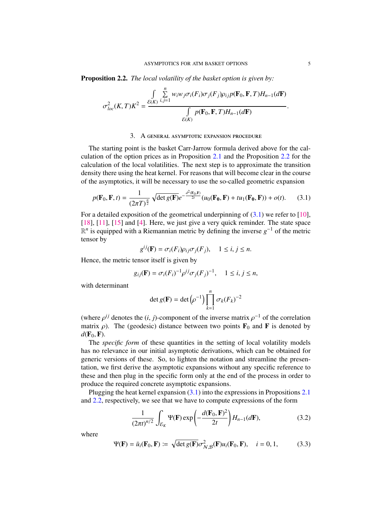<span id="page-4-0"></span>Proposition 2.2. *The local volatility of the basket option is given by:*

$$
\sigma_{loc}^2(K,T)K^2 = \frac{\int\limits_{\mathcal{E}(K)} \sum\limits_{i,j=1}^n w_iw_j \sigma_i(F_i)\sigma_j(F_j)\rho_{ij}p(\mathbf{F}_0,\mathbf{F},T)H_{n-1}(d\mathbf{F})}{\int\limits_{\mathcal{E}(K)} p(\mathbf{F}_0,\mathbf{F},T)H_{n-1}(d\mathbf{F})}
$$

### 3. A general asymptotic expansion procedure

The starting point is the basket Carr-Jarrow formula derived above for the calculation of the option prices as in Proposition [2.1](#page-3-1) and the Proposition [2.2](#page-4-0) for the calculation of the local volatilities. The next step is to approximate the transition density there using the heat kernel. For reasons that will become clear in the course of the asymptotics, it will be necessary to use the so-called geometric expansion

<span id="page-4-1"></span>
$$
p(\mathbf{F}_0, \mathbf{F}, t) = \frac{1}{(2\pi T)^{\frac{n}{2}}} \sqrt{\det g(\mathbf{F})} e^{-\frac{d^2(\mathbf{F}_0, \mathbf{F})}{2t}} (u_0(\mathbf{F}_0, \mathbf{F}) + tu_1(\mathbf{F}_0, \mathbf{F})) + o(t).
$$
 (3.1)

For a detailed exposition of the geometrical underpinning of  $(3.1)$  we refer to [\[10\]](#page-20-1), [\[18\]](#page-20-2), [\[11\]](#page-20-0), [\[15\]](#page-20-7) and [\[4\]](#page-19-0). Here, we just give a very quick reminder. The state space R<sup>n</sup> is equipped with a Riemannian metric by defining the inverse  $g^{-1}$  of the metric tensor by

$$
g^{ij}(\mathbf{F}) = \sigma_i(F_i)\rho_{ij}\sigma_j(F_j), \quad 1 \le i, j \le n.
$$

Hence, the metric tensor itself is given by

$$
g_{ij}(\mathbf{F}) = \sigma_i(F_i)^{-1} \rho^{ij} \sigma_j(F_j)^{-1}, \quad 1 \le i, j \le n,
$$

with determinant

$$
\det g(\mathbf{F}) = \det \left(\rho^{-1}\right) \prod_{k=1}^{n} \sigma_k (F_k)^{-2}
$$

(where  $\rho^{ij}$  denotes the (*i*, *j*)-component of the inverse matrix  $\rho^{-1}$  of the correlation matrix  $\rho$ ). The (geodesic) distance between two points  $\mathbf{F}_e$  and  $\mathbf{F}$  is denoted by matrix  $\rho$ ). The (geodesic) distance between two points  $\mathbf{F}_0$  and **F** is denoted by  $d(\mathbf{F}_0, \mathbf{F})$ .

The *specific form* of these quantities in the setting of local volatility models has no relevance in our initial asymptotic derivations, which can be obtained for generic versions of these. So, to lighten the notation and streamline the presentation, we first derive the asymptotic expansions without any specific reference to these and then plug in the specific form only at the end of the process in order to produce the required concrete asymptotic expansions.

Plugging the heat kernel expansion [\(3.1\)](#page-4-1) into the expressions in Propositions [2.1](#page-3-1) and [2.2,](#page-4-0) respectively, we see that we have to compute expressions of the form

<span id="page-4-2"></span>
$$
\frac{1}{(2\pi t)^{n/2}} \int_{\mathcal{E}_K} \Psi(\mathbf{F}) \exp\left(-\frac{d(\mathbf{F}_0, \mathbf{F})^2}{2t}\right) H_{n-1}(d\mathbf{F}),\tag{3.2}
$$

where

<span id="page-4-3"></span>
$$
\Psi(\mathbf{F}) = \bar{u}_i(\mathbf{F}_0, \mathbf{F}) := \sqrt{\det g(\mathbf{F})} \sigma_{N, \mathcal{B}}^2(\mathbf{F}) u_i(\mathbf{F}_0, \mathbf{F}), \quad i = 0, 1,
$$
 (3.3)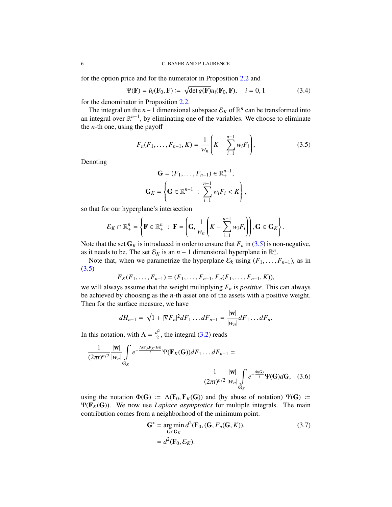for the option price and for the numerator in Proposition [2.2](#page-4-0) and

$$
\Psi(\mathbf{F}) = \hat{u}_i(\mathbf{F}_0, \mathbf{F}) := \sqrt{\det g(\mathbf{F})} u_i(\mathbf{F}_0, \mathbf{F}), \quad i = 0, 1 \tag{3.4}
$$

for the denominator in Proposition [2.2.](#page-4-0)

The integral on the *n* − 1 dimensional subspace  $\mathcal{E}_K$  of  $\mathbb{R}^n$  can be transformed into an integral over  $\mathbb{R}^{n-1}$ , by eliminating one of the variables. We choose to eliminate the *n*-th one, using the payoff

<span id="page-5-0"></span>
$$
F_n(F_1, \dots, F_{n-1}, K) = \frac{1}{w_n} \left( K - \sum_{i=1}^{n-1} w_i F_i \right),
$$
 (3.5)

Denoting

$$
\mathbf{G} = (F_1, ..., F_{n-1}) \in \mathbb{R}^{n-1}_{+},
$$
  

$$
\mathbf{G}_K = \left\{ \mathbf{G} \in \mathbb{R}^{n-1} \; : \; \sum_{i=1}^{n-1} w_i F_i < K \right\},
$$

so that for our hyperplane's intersection

$$
\mathcal{E}_K \cap \mathbb{R}^n_+ = \left\{ \mathbf{F} \in \mathbb{R}^n_+ \; : \; \mathbf{F} = \left( \mathbf{G}, \frac{1}{w_n} \left( K - \sum_{i=1}^{n-1} w_i F_i \right) \right), \mathbf{G} \in \mathbf{G}_K \right\}.
$$

Note that the set  $G_K$  is introduced in order to ensure that  $F_n$  in [\(3.5\)](#page-5-0) is non-negative, as it needs to be. The set  $\mathcal{E}_K$  is an  $n-1$  dimensional hyperplane in  $\mathbb{R}^n_+$ .

Note that, when we parametrize the hyperplane  $\mathcal{E}_k$  using  $(F_1, \ldots, F_{n-1})$ , as in [\(3.5\)](#page-5-0)

$$
F_K(F_1, \ldots, F_{n-1}) = (F_1, \ldots, F_{n-1}, F_n(F_1, \ldots, F_{n-1}, K)),
$$

we will always assume that the weight multiplying *F<sup>n</sup>* is *positive*. This can always be achieved by choosing as the *n*-th asset one of the assets with a positive weight. Then for the surface measure, we have

$$
dH_{n-1} = \sqrt{1+|\nabla F_n|^2} dF_1 \dots dF_{n-1} = \frac{|\mathbf{w}|}{|w_n|} dF_1 \dots dF_n.
$$

In this notation, with  $\Lambda = \frac{d^2}{2}$  $\frac{d^2}{2}$ , the integral [\(3.2\)](#page-4-2) reads

$$
\frac{1}{(2\pi t)^{n/2}} \frac{|\mathbf{w}|}{|w_n|} \int_{\mathbf{G}_K} e^{-\frac{\Lambda(\mathbf{F}_0, \mathbf{F}_K(\mathbf{G}))}{t}} \Psi(\mathbf{F}_K(\mathbf{G})) dF_1 \dots dF_{n-1} = \frac{1}{(2\pi t)^{n/2}} \frac{|\mathbf{w}|}{|w_n|} \int_{\mathbf{G}_K} e^{-\frac{\Phi(\mathbf{G})}{t}} \Psi(\mathbf{G}) d\mathbf{G}, \quad (3.6)
$$

using the notation  $\Phi(G) := \Lambda(F_0, F_K(G))$  and (by abuse of notation)  $\Psi(G)$  =  $\Psi(\mathbf{F}_K(\mathbf{G}))$ . We now use *Laplace asymptotics* for multiple integrals. The main contribution comes from a neighborhood of the minimum point.

$$
\mathbf{G}^* = \underset{\mathbf{G} \in \mathbf{G}_K}{\arg \min} d^2(\mathbf{F}_0, (\mathbf{G}, F_n(\mathbf{G}, K)),
$$
\n
$$
= d^2(\mathbf{F}_0, \mathcal{E}_K).
$$
\n(3.7)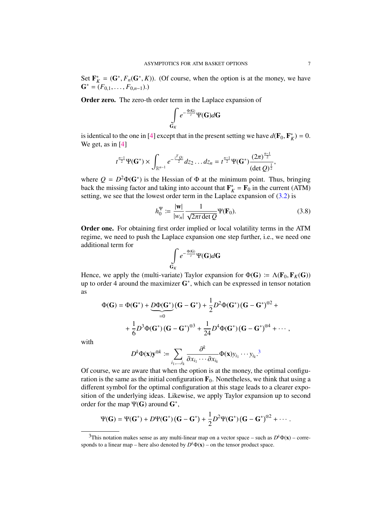Set  $\mathbf{F}_{k}^{*}$  $K_K^* = (\mathbf{G}^*, F_n(\mathbf{G}^*, K))$ . (Of course, when the option is at the money, we have  $\mathbf{G}^* = (F_{0,1}, \dots, F_{0,n-1}).$ 

Order zero. The zero-th order term in the Laplace expansion of

$$
\int\limits_{\mathbf{G}_K}e^{-\frac{\Phi(\mathbf{G})}{t}}\Psi(\mathbf{G})d\mathbf{G}
$$

is identical to the one in [\[4\]](#page-19-0) except that in the present setting we have  $d(\mathbf{F}_0, \mathbf{F}_k^*)$ <br>We get as in [4]  $_{K}^{*}$ ) = 0. We get, as in [\[4\]](#page-19-0)

$$
t^{\frac{n-1}{2}}\Psi(\mathbf{G}^*)\times\int_{\mathbb{R}^{n-1}}e^{-\frac{z^TQz}{2}}dz_2\ldots dz_n=t^{\frac{n-1}{2}}\Psi(\mathbf{G}^*)\frac{(2\pi)^{\frac{n-1}{2}}}{(\det Q)^{\frac{1}{2}}},
$$

where  $Q = D^2 \Phi(\mathbf{G}^*)$  is the Hessian of  $\Phi$  at the minimum point. Thus, bringing back the missing factor and taking into account that  $\mathbf{F}_{k}^{*}$  $K<sub>K</sub>$  =  $\mathbf{F}<sub>0</sub>$  in the current (ATM) setting, we see that the lowest order term in the Laplace expansion of  $(3.2)$  is

<span id="page-6-1"></span>
$$
h_0^{\Psi} \coloneqq \frac{|\mathbf{w}|}{|w_n|} \frac{1}{\sqrt{2\pi t \det Q}} \Psi(\mathbf{F}_0).
$$
 (3.8)

Order one. For obtaining first order implied or local volatility terms in the ATM regime, we need to push the Laplace expansion one step further, i.e., we need one additional term for

$$
\int\limits_{{\mathbf G}_K}e^{-\frac{\Phi({\mathbf G})}{t}}\Psi({\mathbf G})d{\mathbf G}
$$

Hence, we apply the (multi-variate) Taylor expansion for  $\Phi(G) := \Lambda(F_0, F_K(G))$ up to order 4 around the maximizer  $G^*$ , which can be expressed in tensor notation as

$$
\Phi(\mathbf{G}) = \Phi(\mathbf{G}^*) + \underbrace{D\Phi(\mathbf{G}^*)}_{=0} (\mathbf{G} - \mathbf{G}^*) + \frac{1}{2} D^2 \Phi(\mathbf{G}^*) (\mathbf{G} - \mathbf{G}^*)^{\otimes 2} + \n+ \frac{1}{6} D^3 \Phi(\mathbf{G}^*) (\mathbf{G} - \mathbf{G}^*)^{\otimes 3} + \frac{1}{24} D^4 \Phi(\mathbf{G}^*) (\mathbf{G} - \mathbf{G}^*)^{\otimes 4} + \cdots,
$$

with

$$
D^k \Phi(\mathbf{x}) \mathbf{y}^{\otimes k} \coloneqq \sum_{i_1, \dots, i_k} \frac{\partial^k}{\partial x_{i_1} \cdots \partial x_{i_k}} \Phi(\mathbf{x}) y_{i_1} \cdots y_{i_k}^{3}
$$

Of course, we are aware that when the option is at the money, the optimal configuration is the same as the initial configuration  $\mathbf{F}_0$ . Nonetheless, we think that using a different symbol for the optimal configuration at this stage leads to a clearer exposition of the underlying ideas. Likewise, we apply Taylor expansion up to second order for the map  $\Psi(G)$  around  $G^*$ ,

$$
\Psi(\mathbf{G}) = \Psi(\mathbf{G}^*) + D\Psi(\mathbf{G}^*)(\mathbf{G} - \mathbf{G}^*) + \frac{1}{2}D^2\Psi(\mathbf{G}^*)(\mathbf{G} - \mathbf{G}^*)^{\otimes 2} + \cdots
$$

<span id="page-6-0"></span><sup>&</sup>lt;sup>3</sup>This notation makes sense as any multi-linear map on a vector space – such as  $D^k\Phi(\mathbf{x})$  – corresponds to a linear map – here also denoted by  $D^k\Phi(\mathbf{x})$  – on the tensor product space.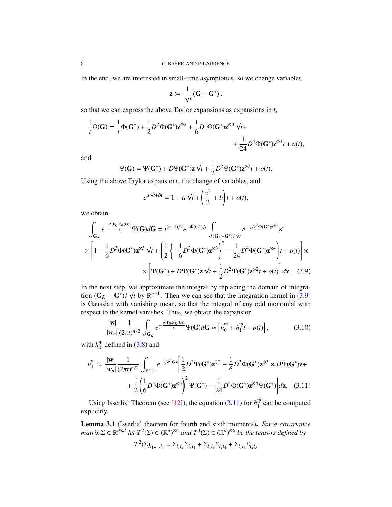In the end, we are interested in small-time asymptotics, so we change variables

$$
\mathbf{z} \coloneqq \frac{1}{\sqrt{t}} \left( \mathbf{G} - \mathbf{G}^* \right),
$$

so that we can express the above Taylor expansions as expansions in *t*,

$$
\frac{1}{t}\Phi(\mathbf{G}) = \frac{1}{t}\Phi(\mathbf{G}^*) + \frac{1}{2}D^2\Phi(\mathbf{G}^*)\mathbf{z}^{\otimes 2} + \frac{1}{6}D^3\Phi(\mathbf{G}^*)\mathbf{z}^{\otimes 3}\sqrt{t} + \\ + \frac{1}{24}D^4\Phi(\mathbf{G}^*)\mathbf{z}^{\otimes 4}t + o(t),
$$

and

$$
\Psi(\mathbf{G}) = \Psi(\mathbf{G}^*) + D\Psi(\mathbf{G}^*)\mathbf{z}\sqrt{t} + \frac{1}{2}D^2\Psi(\mathbf{G}^*)\mathbf{z}^{\otimes 2}t + o(t).
$$

Using the above Taylor expansions, the change of variables, and

<span id="page-7-0"></span>
$$
e^{a\sqrt{t}+bt} = 1 + a\sqrt{t} + \left(\frac{a^2}{2} + b\right)t + o(t),
$$

we obtain

$$
\int_{\mathbf{G}_K} e^{-\frac{\Lambda(\mathbf{F}_0, \mathbf{F}_K(\mathbf{G}))}{t}} \Psi(\mathbf{G}) d\mathbf{G} = t^{(n-1)/2} e^{-\Phi(\mathbf{G}^*)/t} \int_{(\mathbf{G}_K - \mathbf{G}^*)/t/\bar{t}} e^{-\frac{1}{2}D^2\Phi(\mathbf{G}^*)\mathbf{Z}^{\otimes 2}} \times
$$
\n
$$
\times \left[1 - \frac{1}{6}D^3\Phi(\mathbf{G}^*)\mathbf{Z}^{\otimes 3}\sqrt{t} + \left(\frac{1}{2}\left\{-\frac{1}{6}D^3\Phi(\mathbf{G}^*)\mathbf{Z}^{\otimes 3}\right\}^2 - \frac{1}{24}D^4\Phi(\mathbf{G}^*)\mathbf{Z}^{\otimes 4}\right)t + o(t)\right] \times
$$
\n
$$
\times \left[\Psi(\mathbf{G}^*) + D\Psi(\mathbf{G}^*)\mathbf{Z}\sqrt{t} + \frac{1}{2}D^2\Psi(\mathbf{G}^*)\mathbf{Z}^{\otimes 2}t + o(t)\right]d\mathbf{Z}.\quad(3.9)
$$

In the next step, we approximate the integral by replacing the domain of integration  $(G_K - G^*) / \sqrt{t}$  by  $\mathbb{R}^{n-1}$ . Then we can see that the integration kernel in [\(3.9\)](#page-7-0) is Gaussian with vanishing mean, so that the integral of any odd monomial with is Gaussian with vanishing mean, so that the integral of any odd monomial with respect to the kernel vanishes. Thus, we obtain the expansion

$$
\frac{|\mathbf{w}|}{|w_n|} \frac{1}{(2\pi t)^{n/2}} \int_{\mathbf{G}_K} e^{-\frac{\Lambda(\mathbf{F}_0, \mathbf{F}_K(\mathbf{G}))}{t}} \Psi(\mathbf{G}) d\mathbf{G} \approx \left[ h_0^{\Psi} + h_1^{\Psi} t + o(t) \right],\tag{3.10}
$$

with  $h_0^{\Psi}$  defined in [\(3.8\)](#page-6-1) and

$$
h_1^{\Psi} := \frac{|\mathbf{w}|}{|w_n|} \frac{1}{(2\pi t)^{n/2}} \int_{\mathbb{R}^{n-1}} e^{-\frac{1}{2}\mathbf{z}^T Q \mathbf{z}} \left[ \frac{1}{2} D^2 \Psi(\mathbf{G}^*) \mathbf{z}^{\otimes 2} - \frac{1}{6} D^3 \Phi(\mathbf{G}^*) \mathbf{z}^{\otimes 3} \times D \Psi(\mathbf{G}^*) \mathbf{z} + \frac{1}{2} \left( \frac{1}{6} D^3 \Phi(\mathbf{G}^*) \mathbf{z}^{\otimes 3} \right)^2 \Psi(\mathbf{G}^*) - \frac{1}{24} D^4 \Phi(\mathbf{G}^*) \mathbf{z}^{\otimes 4} \Psi(\mathbf{G}^*) \right] d\mathbf{z}.
$$
 (3.11)

Using Isserlis' Theorem (see [\[12\]](#page-20-8)), the equation  $(3.11)$  for  $h_1^{\Psi}$  can be computed explicitly.

Lemma 3.1 (Isserlis' theorem for fourth and sixth moments). *For a covariance*  $matrix \Sigma \in \mathbb{R}^{d \times d}$  let  $T^2(\Sigma) \in (\mathbb{R}^d)^{\otimes 4}$  and  $T^3(\Sigma) \in (\mathbb{R}^d)^{\otimes 6}$  be the tensors defined by

<span id="page-7-1"></span>
$$
T^{2}(\Sigma)_{i_{1},...,i_{4}} = \Sigma_{i_{1}i_{2}}\Sigma_{i_{3}i_{4}} + \Sigma_{i_{1}i_{3}}\Sigma_{i_{2}i_{4}} + \Sigma_{i_{1}i_{4}}\Sigma_{i_{2}i_{3}}
$$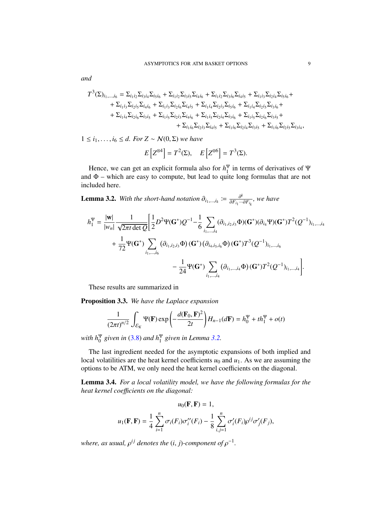$$
T^{3}(\Sigma)_{i_{1},...,i_{6}} = \Sigma_{i_{1}i_{2}}\Sigma_{i_{3}i_{4}}\Sigma_{i_{5}i_{6}} + \Sigma_{i_{1}i_{2}}\Sigma_{i_{3}i_{5}}\Sigma_{i_{4}i_{6}} + \Sigma_{i_{1}i_{2}}\Sigma_{i_{3}i_{6}}\Sigma_{i_{4}i_{5}} + \Sigma_{i_{1}i_{3}}\Sigma_{i_{2}i_{4}}\Sigma_{i_{5}i_{6}} + \Sigma_{i_{1}i_{3}}\Sigma_{i_{2}i_{5}}\Sigma_{i_{4}i_{6}} + \Sigma_{i_{1}i_{3}}\Sigma_{i_{2}i_{5}}\Sigma_{i_{4}i_{5}} + \Sigma_{i_{1}i_{4}}\Sigma_{i_{2}i_{3}}\Sigma_{i_{5}i_{6}} + \Sigma_{i_{1}i_{4}}\Sigma_{i_{2}i_{5}}\Sigma_{i_{3}i_{6}} + \Sigma_{i_{1}i_{4}}\Sigma_{i_{2}i_{5}}\Sigma_{i_{3}i_{5}} + \Sigma_{i_{1}i_{4}}\Sigma_{i_{2}i_{6}}\Sigma_{i_{3}i_{5}} + \Sigma_{i_{1}i_{4}}\Sigma_{i_{2}i_{6}}\Sigma_{i_{3}i_{5}} + \Sigma_{i_{1}i_{4}}\Sigma_{i_{2}i_{6}}\Sigma_{i_{3}i_{5}} + \Sigma_{i_{1}i_{6}}\Sigma_{i_{2}i_{3}}\Sigma_{i_{4}i_{5}} + \Sigma_{i_{1}i_{6}}\Sigma_{i_{2}i_{3}}\Sigma_{i_{4}i_{5}} + \Sigma_{i_{1}i_{6}}\Sigma_{i_{2}i_{4}}\Sigma_{i_{3}i_{5}} + \Sigma_{i_{1}i_{6}}\Sigma_{i_{2}i_{5}}\Sigma_{i_{3}i_{4}},
$$

<sup>1</sup> <sup>≤</sup> *<sup>i</sup>*1, . . . , *<sup>i</sup>*<sup>6</sup> <sup>≤</sup> *d. For Z* ∼ N(0, <sup>Σ</sup>) *we have*

$$
E\left[Z^{\otimes 4}\right] = T^2(\Sigma), \quad E\left[Z^{\otimes 6}\right] = T^3(\Sigma).
$$

Hence, we can get an explicit formula also for  $h_1^{\Psi}$  in terms of derivatives of  $\Psi$ and  $\Phi$  – which are easy to compute, but lead to quite long formulas that are not included here.

<span id="page-8-2"></span>**Lemma 3.2.** *With the short-hand notation*  $\partial_{i_1,\dots,i_k} := \frac{\partial^k}{\partial F_{i_1} \cdots}$  $\frac{\partial^{\kappa}}{\partial F_{i_1} \cdots \partial F_{i_k}}$ , we have

$$
h_1^{\Psi} = \frac{|\mathbf{w}|}{|w_n|} \frac{1}{\sqrt{2\pi t \det Q}} \left[ \frac{1}{2} D^2 \Psi(\mathbf{G}^*) Q^{-1} - \frac{1}{6} \sum_{i_1, \dots, i_4} (\partial_{i_1, i_2, i_3} \Phi)(\mathbf{G}^*) (\partial_{i_4} \Psi)(\mathbf{G}^*) T^2 (Q^{-1})_{i_1, \dots, i_4} \right. \\
\left. + \frac{1}{72} \Psi(\mathbf{G}^*) \sum_{i_1, \dots, i_6} (\partial_{i_1, i_2, i_3} \Phi)(\mathbf{G}^*) (\partial_{i_4, i_5, i_6} \Phi)(\mathbf{G}^*) T^3 (Q^{-1})_{i_1, \dots, i_6} \\
- \frac{1}{24} \Psi(\mathbf{G}^*) \sum_{i_1, \dots, i_4} (\partial_{i_1, \dots, i_4} \Phi)(\mathbf{G}^*) T^2 (Q^{-1})_{i_1, \dots, i_4} \right].
$$

These results are summarized in

<span id="page-8-1"></span>Proposition 3.3. *We have the Laplace expansion*

$$
\frac{1}{(2\pi t)^{n/2}} \int_{\mathcal{E}_K} \Psi(\mathbf{F}) \exp\left(-\frac{d(\mathbf{F}_0, \mathbf{F})^2}{2t}\right) H_{n-1}(d\mathbf{F}) = h_0^{\Psi} + th_1^{\Psi} + o(t)
$$

with  $h_0^{\Psi}$  given in [\(3.8\)](#page-6-1) and  $h_1^{\Psi}$  given in Lemma [3.2.](#page-8-2)

The last ingredient needed for the asymptotic expansions of both implied and local volatilities are the heat kernel coefficients  $u_0$  and  $u_1$ . As we are assuming the options to be ATM, we only need the heat kernel coefficients on the diagonal.

<span id="page-8-0"></span>Lemma 3.4. *For a local volatility model, we have the following formulas for the heat kernel coe*ffi*cients on the diagonal:*

$$
u_0(\mathbf{F}, \mathbf{F}) = 1,
$$
  

$$
u_1(\mathbf{F}, \mathbf{F}) = \frac{1}{4} \sum_{i=1}^n \sigma_i(F_i) \sigma_i''(F_i) - \frac{1}{8} \sum_{i,j=1}^n \sigma_i'(F_i) \rho^{ij} \sigma_j'(F_j),
$$

where, as usual,  $\rho^{ij}$  denotes the  $(i, j)$ -component of  $\rho^{-1}$ .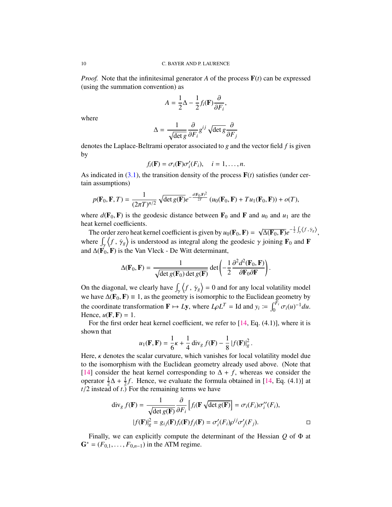*Proof.* Note that the infinitesimal generator *A* of the process  $F(t)$  can be expressed (using the summation convention) as

$$
A = \frac{1}{2}\Delta - \frac{1}{2}f_i(\mathbf{F})\frac{\partial}{\partial F_i},
$$

where

$$
\Delta = \frac{1}{\sqrt{\det g}} \frac{\partial}{\partial F_i} g^{ij} \sqrt{\det g} \frac{\partial}{\partial F_j}
$$

denotes the Laplace-Beltrami operator associated to *g* and the vector field *f* is given by

$$
f_i(\mathbf{F}) = \sigma_i(\mathbf{F}) \sigma'_i(F_i), \quad i = 1, \dots, n.
$$

As indicated in  $(3.1)$ , the transition density of the process  $F(t)$  satisfies (under certain assumptions)

$$
p(\mathbf{F}_0, \mathbf{F}, T) = \frac{1}{(2\pi T)^{n/2}} \sqrt{\det g(\mathbf{F})} e^{-\frac{d(\mathbf{F}_0, \mathbf{F})^2}{2T}} (u_0(\mathbf{F}_0, \mathbf{F}) + Tu_1(\mathbf{F}_0, \mathbf{F})) + o(T),
$$

where  $d(\mathbf{F}_0, \mathbf{F})$  is the geodesic distance between  $\mathbf{F}_0$  and  $\mathbf{F}$  and  $u_0$  and  $u_1$  are the heat kernel coefficients heat kernel coefficients.

The order zero heat kernel coefficient is given by  $u_0(\mathbf{F}_0, \mathbf{F}) = \sqrt{\Delta(\mathbf{F}_0, \mathbf{F})}e$ <br>where  $\int_{\alpha} \langle f, \gamma_g \rangle$  is understood as integral along the geodesic  $\gamma$  joining **F**  $\sqrt{\Lambda(\mathbf{F}_0 \mathbf{F})}e^{-\frac{1}{2}}$  $\int_{\gamma}\langle f, \dot{\gamma}_g \rangle$ , γ  $\langle f, \dot{\gamma}_g \rangle$  is understood as integral along the geodesic  $\gamma$  joining  $\mathbf{F}_0$  and  $\mathbf{F}$ <br>**F**) is the Van Vlaak. De Witt determinant and  $\Delta(\mathbf{F}_0, \mathbf{F})$  is the Van Vleck - De Witt determinant,

$$
\Delta(\mathbf{F}_0, \mathbf{F}) = \frac{1}{\sqrt{\det g(\mathbf{F}_0) \det g(\mathbf{F})}} \det \left( -\frac{1}{2} \frac{\partial^2 d^2(\mathbf{F}_0, \mathbf{F})}{\partial \mathbf{F}_0 \partial \mathbf{F}} \right).
$$

On the diagonal, we clearly have  $\int_{\gamma} \langle f, \gamma_{g} \rangle = 0$  and for any local volatility model<br>we have  $\Delta(\mathbf{F}, \mathbf{F}) = 1$  as the compative is isomorphic to the Evolidean geometry hy we have  $\Delta(\mathbf{F}_0, \mathbf{F}) \equiv 1$ , as the geometry is isomorphic to the Euclidean geometry by the geometry for the state of  $\mathbf{F}_i$  and  $\mathbf{F}_j$  and  $\mathbf{F}_i$  and  $\mathbf{F}_j$  and  $\mathbf{F}_j$  and  $\mathbf{F}_j$  and  $\mathbf{F}_j$  and  $\$ the coordinate transformation  $\mathbf{F} \mapsto L\mathbf{y}$ , where  $L\rho L^T = \text{Id}$  and  $y_i := \int_0^{\overline{F}_i} \sigma_i(u)^{-1} du$ .<br>Hence  $u(\mathbf{F} \mathbf{F}) = 1$ Hence,  $u(\mathbf{F}, \mathbf{F}) = 1$ .

For the first order heat kernel coefficient, we refer to  $[14, Eq. (4.1)]$  $[14, Eq. (4.1)]$ , where it is shown that

$$
u_1(\mathbf{F}, \mathbf{F}) = \frac{1}{6}\kappa + \frac{1}{4}\operatorname{div}_g f(\mathbf{F}) - \frac{1}{8}|f(\mathbf{F})|_g^2.
$$

Here,  $\kappa$  denotes the scalar curvature, which vanishes for local volatility model due to the isomorphism with the Euclidean geometry already used above. (Note that [\[14\]](#page-20-9) consider the heat kernel corresponding to  $\Delta + f$ , whereas we consider the operator  $\frac{1}{2}\Delta + \frac{1}{2}f$ . Hence, we evaluate the formula obtained in [\[14,](#page-20-9) Eq. (4.1)] at *<sup>t</sup>*/2 instead of *<sup>t</sup>*.) For the remaining terms we have

$$
\operatorname{div}_g f(\mathbf{F}) = \frac{1}{\sqrt{\det g(\mathbf{F})}} \frac{\partial}{\partial F_i} \left[ f_i(\mathbf{F} \sqrt{\det g(\mathbf{F})}) \right] = \sigma_i(F_i) \sigma_i''(F_i),
$$

$$
|f(\mathbf{F})|_g^2 = g_{ij}(\mathbf{F}) f_i(\mathbf{F}) f_j(\mathbf{F}) = \sigma_i'(F_i) \rho^{ij} \sigma_j'(F_j).
$$

Finally, we can explicitly compute the determinant of the Hessian *Q* of Φ at  $G^* = (F_{0,1}, \ldots, F_{0,n-1})$  in the ATM regime.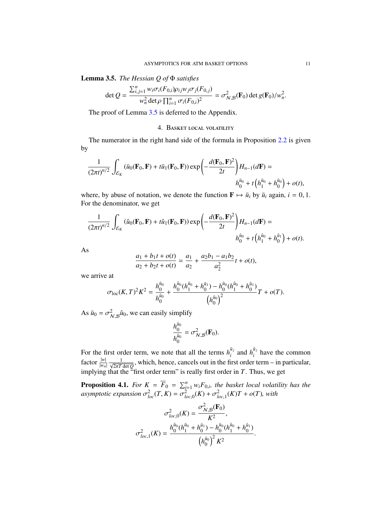<span id="page-10-0"></span>Lemma 3.5. *The Hessian Q of* Φ *satisfies*

$$
\det Q = \frac{\sum_{i,j=1}^{n} w_i \sigma_i(F_{0,i}) \rho_{ij} w_j \sigma_j(F_{0,j})}{w_n^2 \det \rho \prod_{i=1}^{n} \sigma_i(F_{0,i})^2} = \sigma_{N,\mathcal{B}}^2(\mathbf{F}_0) \det g(\mathbf{F}_0) / w_n^2.
$$

The proof of Lemma [3.5](#page-10-0) is deferred to the Appendix.

# 4. Basket local volatility

<span id="page-10-1"></span>The numerator in the right hand side of the formula in Proposition [2.2](#page-4-0) is given by

$$
\frac{1}{(2\pi t)^{n/2}} \int_{\mathcal{E}_K} (\bar{u}_0(\mathbf{F}_0, \mathbf{F}) + t\bar{u}_1(\mathbf{F}_0, \mathbf{F})) \exp\left(-\frac{d(\mathbf{F}_0, \mathbf{F})^2}{2t}\right) H_{n-1}(d\mathbf{F}) =
$$
  

$$
h_0^{\bar{u}_0} + t\left(h_1^{\bar{u}_0} + h_0^{\bar{u}_0}\right) + o(t),
$$

where, by abuse of notation, we denote the function  $\mathbf{F} \mapsto \bar{u}_i$  by  $\bar{u}_i$  again,  $i = 0, 1$ .<br>For the denominator we get For the denominator, we get

$$
\frac{1}{(2\pi t)^{n/2}} \int_{\mathcal{E}_K} (\hat{u}_0(\mathbf{F}_0, \mathbf{F}) + t\hat{u}_1(\mathbf{F}_0, \mathbf{F})) \exp\left(-\frac{d(\mathbf{F}_0, \mathbf{F})^2}{2t}\right) H_{n-1}(d\mathbf{F}) =
$$
  

$$
h_0^{\hat{u}_0} + t\left(h_1^{\hat{u}_0} + h_0^{\hat{u}_1}\right) + o(t).
$$

As

$$
\frac{a_1 + b_1t + o(t)}{a_2 + b_2t + o(t)} = \frac{a_1}{a_2} + \frac{a_2b_1 - a_1b_2}{a_2^2}t + o(t),
$$

we arrive at

$$
\sigma_{\text{loc}}(K,T)^2K^2 = \frac{h_0^{\bar{u}_0}}{h_0^{\hat{u}_0}} + \frac{h_0^{\hat{u}_0}(h_1^{\bar{u}_0} + h_0^{\hat{u}_1}) - h_0^{\bar{u}_0}(h_1^{\hat{u}_0} + h_0^{\hat{u}_1})}{(h_0^{\hat{u}_0})^2}T + o(T).
$$

As  $\bar{u}_0 = \sigma_{N,\mathcal{B}}^2 \hat{u}_0$ , we can easily simplify

$$
\frac{h_0^{\bar{u}_0}}{h_0^{\hat{u}_0}} = \sigma_{N,\mathcal{B}}^2(\mathbf{F}_0).
$$

For the first order term, we note that all the terms  $h_i^{\bar{u}_j}$  $\frac{\bar{u}_j}{i}$  and  $h_i^{\hat{u}_j}$  $i_j$ <sup>*u<sub>j</sub>*</sup> have the common factor  $\frac{|w|}{|w_n|} \frac{1}{\sqrt{2\pi T \det Q}}$ , which, hence, cancels out in the first order term – in particular, implying that the "first order term" is really first order in T. Thus, we get implying that the "first order term" is really first order in *T*. Thus, we get

<span id="page-10-2"></span>**Proposition 4.1.** *For*  $K = \overline{F}_0 = \sum_{i=1}^n w_i F_{0,i}$ , the basket local volatility has the  $a$ *symptotic expansion*  $\sigma_{loc}^2(T, K) = \sigma_{loc,0}^2(K) + \sigma_{loc,1}^2(K)T + o(T)$ *, with* 

$$
\sigma_{loc,0}^2(K) = \frac{\sigma_{N,\mathcal{B}}^2(\mathbf{F}_0)}{K^2},
$$

$$
\sigma_{loc,1}^2(K) = \frac{h_0^{\hat{u}_0}(h_1^{\bar{u}_0} + h_0^{\hat{u}_1}) - h_0^{\bar{u}_0}(h_1^{\hat{u}_0} + h_0^{\hat{u}_1})}{\left(h_0^{\hat{u}_0}\right)^2 K^2}.
$$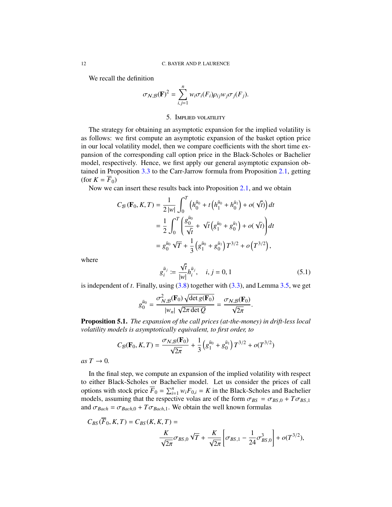We recall the definition

$$
\sigma_{\mathcal{N},\mathcal{B}}(\mathbf{F})^2 = \sum_{i,j=1}^n w_i \sigma_i(F_i) \rho_{ij} w_j \sigma_j(F_j).
$$

# 5. Implied volatility

<span id="page-11-0"></span>The strategy for obtaining an asymptotic expansion for the implied volatility is as follows: we first compute an asymptotic expansion of the basket option price in our local volatility model, then we compare coefficients with the short time expansion of the corresponding call option price in the Black-Scholes or Bachelier model, respectively. Hence, we first apply our general asymptotic expansion obtained in Proposition [3.3](#page-8-1) to the Carr-Jarrow formula from Proposition [2.1,](#page-3-1) getting (for  $K = \overline{F}_0$ )

Now we can insert these results back into Proposition [2.1,](#page-3-1) and we obtain

$$
C_{\mathcal{B}}(\mathbf{F}_0, K, T) = \frac{1}{2 |w|} \int_0^T \left( h_0^{\bar{u}_0} + t \left( h_1^{\bar{u}_0} + h_0^{\bar{u}_1} \right) + o(\sqrt{t}) \right) dt
$$
  

$$
= \frac{1}{2} \int_0^T \left( \frac{g_0^{\bar{u}_0}}{\sqrt{t}} + \sqrt{t} \left( g_1^{\bar{u}_0} + g_0^{\bar{u}_1} \right) + o(\sqrt{t}) \right) dt
$$
  

$$
= g_0^{\bar{u}_0} \sqrt{T} + \frac{1}{3} \left( g_1^{\bar{u}_0} + g_0^{\bar{u}_1} \right) T^{3/2} + o\left( T^{3/2} \right),
$$

where

$$
g_i^{\bar{u}_j} := \frac{\sqrt{t}}{|w|} h_i^{\bar{u}_j}, \quad i, j = 0, 1
$$
 (5.1)

is independent of *t*. Finally, using [\(3.8\)](#page-6-1) together with [\(3.3\)](#page-4-3), and Lemma [3.5,](#page-10-0) we get

$$
g_0^{\bar{u}_0} = \frac{\sigma_{\mathcal{N},\mathcal{B}}^2(\mathbf{F}_0) \sqrt{\det g(\mathbf{F}_0)}}{|w_n| \sqrt{2\pi \det \mathcal{Q}}} = \frac{\sigma_{\mathcal{N},\mathcal{B}}(\mathbf{F}_0)}{\sqrt{2\pi}}
$$

<span id="page-11-1"></span>Proposition 5.1. *The expansion of the call prices (at-the-money) in drift-less local volatility models is asymptotically equivalent, to first order, to*

$$
C_{\mathcal{B}}(\mathbf{F}_0, K, T) = \frac{\sigma_{\mathcal{N}, \mathcal{B}}(\mathbf{F}_0)}{\sqrt{2\pi}} + \frac{1}{3} \left( g_1^{\bar{u}_0} + g_0^{\bar{u}_1} \right) T^{3/2} + o(T^{3/2})
$$

 $as T \rightarrow 0$ .

In the final step, we compute an expansion of the implied volatility with respect to either Black-Scholes or Bachelier model. Let us consider the prices of call options with stock price  $\overline{F}_0 = \sum_{i=1}^n w_i F_{0,i} = K$  in the Black-Scholes and Bachelier<br>models, assuming that the respective volume are of the form  $\sigma_{\text{max}} = \sigma_{\text{max}} + T \sigma_{\text{max}}$ . models, assuming that the respective volas are of the form  $\sigma_{BS} = \sigma_{BS,0} + T\sigma_{BS,1}$ <br>and  $\sigma_{B}$ ,  $I = \sigma_{B}$ ,  $I \circ T\sigma_{B}$ ,  $I \circ W$ e obtain the well known formulas and  $\sigma_{Bach} = \sigma_{Bach,0} + T \sigma_{Bach,1}$ . We obtain the well known formulas

$$
C_{BS}(F_0, K, T) = C_{BS}(K, K, T) = \frac{K}{\sqrt{2\pi}} \sigma_{BS,0} \sqrt{T} + \frac{K}{\sqrt{2\pi}} \left[ \sigma_{BS,1} - \frac{1}{24} \sigma_{BS,0}^3 \right] + o(T^{3/2}),
$$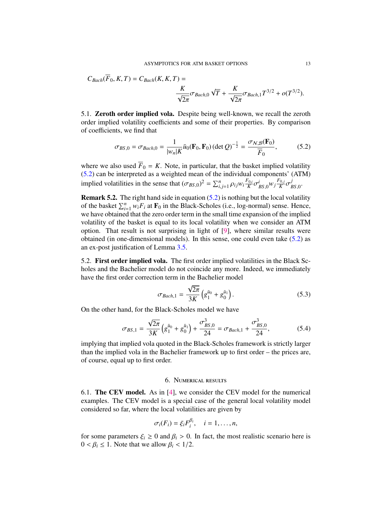$$
C_{Bach}(F_0, K, T) = C_{Bach}(K, K, T) =
$$
  

$$
\frac{K}{\sqrt{2\pi}} \sigma_{Bach,0} \sqrt{T} + \frac{K}{\sqrt{2\pi}} \sigma_{Bach,1} T^{3/2} + o(T^{3/2}).
$$

5.1. Zeroth order implied vola. Despite being well-known, we recall the zeroth order implied volatility coefficients and some of their properties. By comparison of coefficients, we find that

<span id="page-12-1"></span>
$$
\sigma_{BS,0} = \sigma_{Bach,0} = \frac{1}{|w_n|K} \bar{u}_0(\mathbf{F}_0, \mathbf{F}_0) (\det Q)^{-\frac{1}{2}} = \frac{\sigma_{N,B}(\mathbf{F}_0)}{\overline{F}_0},
$$
(5.2)

where we also used  $\overline{F}_0 = K$ . Note, in particular, that the basket implied volatility [\(5.2\)](#page-12-1) can be interpreted as a weighted mean of the individual components' (ATM) implied volatilities in the sense that  $(\sigma_{BS,0})^2 = \sum_{i,j=1}^n \rho_{ij} w_i \frac{F_{0,i}}{K} \sigma$  $\frac{i}{BS,0}W_j\frac{F_{0,j}}{K}\sigma$ *j BS*,<sup>0</sup> .

**Remark 5.2.** The right hand side in equation  $(5.2)$  is nothing but the local volatility of the basket  $\sum_{i=1}^{n} w_i F_i$  at  $\mathbf{F}_0$  in the Black-Scholes (i.e., log-normal) sense. Hence, we have obtained that the zero order term in the small time expansion of the implied volatility of the basket is equal to its local volatility when we consider an ATM option. That result is not surprising in light of [\[9\]](#page-20-10), where similar results were obtained (in one-dimensional models). In this sense, one could even take [\(5.2\)](#page-12-1) as an ex-post justification of Lemma [3.5.](#page-10-0)

5.2. First order implied vola. The first order implied volatilities in the Black Scholes and the Bachelier model do not coincide any more. Indeed, we immediately have the first order correction term in the Bachelier model

<span id="page-12-2"></span>
$$
\sigma_{Bach,1} = \frac{\sqrt{2\pi}}{3K} \left( g_1^{\bar{u}_0} + g_0^{\bar{u}_1} \right). \tag{5.3}
$$

On the other hand, for the Black-Scholes model we have

<span id="page-12-3"></span>
$$
\sigma_{BS,1} = \frac{\sqrt{2\pi}}{3K} \left( g_1^{\bar{u}_0} + g_0^{\bar{u}_1} \right) + \frac{\sigma_{BS,0}^3}{24} = \sigma_{Bach,1} + \frac{\sigma_{BS,0}^3}{24},\tag{5.4}
$$

implying that implied vola quoted in the Black-Scholes framework is strictly larger than the implied vola in the Bachelier framework up to first order – the prices are, of course, equal up to first order.

### 6. Numerical results

<span id="page-12-0"></span>6.1. The CEV model. As in [\[4\]](#page-19-0), we consider the CEV model for the numerical examples. The CEV model is a special case of the general local volatility model considered so far, where the local volatilities are given by

$$
\sigma_i(F_i) = \xi_i F_i^{\beta_i}, \quad i = 1, \dots, n,
$$

for some parameters  $\xi_i \geq 0$  and  $\beta_i > 0$ . In fact, the most realistic scenario here is  $0 < \beta_i \leq 1$ . Note that we allow  $\beta_i < 1/2$ .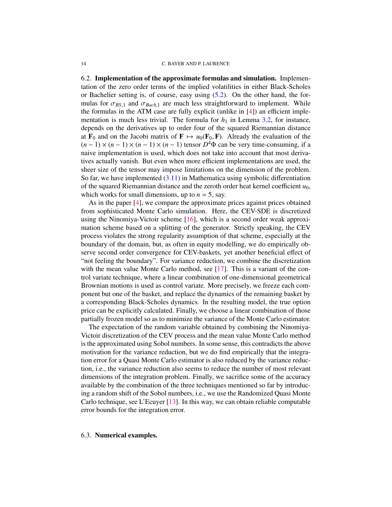6.2. Implementation of the approximate formulas and simulation. Implementation of the zero order terms of the implied volatilities in either Black-Scholes or Bachelier setting is, of course, easy using [\(5.2\)](#page-12-1). On the other hand, the formulas for  $\sigma_{BS,1}$  and  $\sigma_{Bach,1}$  are much less straightforward to implement. While the formulas in the ATM case are fully explicit (unlike in [\[4\]](#page-19-0)) an efficient implementation is much less trivial. The formula for  $h_1$  in Lemma [3.2,](#page-8-2) for instance, depends on the derivatives up to order four of the squared Riemannian distance at  $\mathbf{F}_0$  and on the Jacobi matrix of  $\mathbf{F} \mapsto u_0(\mathbf{F}_0, \mathbf{F})$ . Already the evaluation of the  $(n-1) \times (n-1) \times (n-1) \times (n-1)$  tensor  $D^4\Phi$  can be very time-consuming, if a naive implementation is used, which does not take into account that most derivatives actually vanish. But even when more efficient implementations are used, the sheer size of the tensor may impose limitations on the dimension of the problem. So far, we have implemented [\(3.11\)](#page-7-1) in Mathematica using symbolic differentiation of the squared Riemannian distance and the zeroth order heat kernel coefficient *u*0, which works for small dimensions, up to  $n = 5$ , say.

As in the paper [\[4\]](#page-19-0), we compare the approximate prices against prices obtained from sophisticated Monte Carlo simulation. Here, the CEV-SDE is discretized using the Ninomiya-Victoir scheme [\[16\]](#page-20-11), which is a second order weak approximation scheme based on a splitting of the generator. Strictly speaking, the CEV process violates the strong regularity assumption of that scheme, especially at the boundary of the domain, but, as often in equity modelling, we do empirically observe second order convergence for CEV-baskets, yet another beneficial effect of "not feeling the boundary". For variance reduction, we combine the discretization with the mean value Monte Carlo method, see [\[17\]](#page-20-12). This is a variant of the control variate technique, where a linear combination of one-dimensional geometrical Brownian motions is used as control variate. More precisely, we freeze each component but one of the basket, and replace the dynamics of the remaining basket by a corresponding Black-Scholes dynamics. In the resulting model, the true option price can be explicitly calculated. Finally, we choose a linear combination of those partially frozen model so as to minimize the variance of the Monte Carlo estimator.

The expectation of the random variable obtained by combining the Ninomiya-Victoir discretization of the CEV process and the mean value Monte Carlo method is the approximated using Sobol numbers. In some sense, this contradicts the above motivation for the variance reduction, but we do find empirically that the integration error for a Quasi Monte Carlo estimator is also reduced by the variance reduction, i.e., the variance reduction also seems to reduce the number of most relevant dimensions of the integration problem. Finally, we sacrifice some of the accuracy available by the combination of the three techniques mentioned so far by introducing a random shift of the Sobol numbers, i.e., we use the Randomized Quasi Monte Carlo technique, see L'Ecuyer [\[13\]](#page-20-13). In this way, we can obtain reliable computable error bounds for the integration error.

#### 6.3. Numerical examples.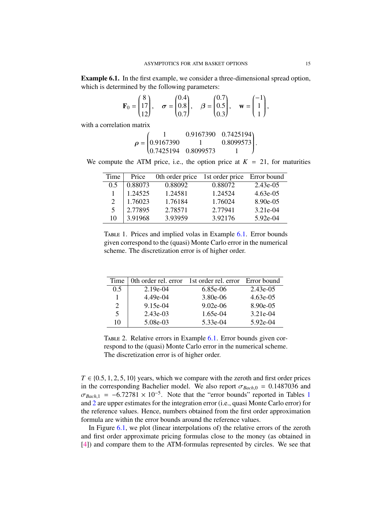<span id="page-14-0"></span>Example 6.1. In the first example, we consider a three-dimensional spread option, which is determined by the following parameters:

$$
\mathbf{F}_0 = \begin{pmatrix} 8 \\ 17 \\ 12 \end{pmatrix}, \quad \boldsymbol{\sigma} = \begin{pmatrix} 0.4 \\ 0.8 \\ 0.7 \end{pmatrix}, \quad \boldsymbol{\beta} = \begin{pmatrix} 0.7 \\ 0.5 \\ 0.3 \end{pmatrix}, \quad \mathbf{w} = \begin{pmatrix} -1 \\ 1 \\ 1 \end{pmatrix},
$$

with a correlation matrix

$$
\rho = \begin{pmatrix} 1 & 0.9167390 & 0.7425194 \\ 0.9167390 & 1 & 0.8099573 \\ 0.7425194 & 0.8099573 & 1 \end{pmatrix}.
$$

We compute the ATM price, i.e., the option price at  $K = 21$ , for maturities

| Time | Price   |         | 0th order price 1st order price Error bound |            |
|------|---------|---------|---------------------------------------------|------------|
| 0.5  | 0.88073 | 0.88092 | 0.88072                                     | $2.43e-05$ |
|      | 1.24525 | 1.24581 | 1.24524                                     | $4.63e-05$ |
| 2    | 1.76023 | 1.76184 | 1.76024                                     | 8.90e-05   |
| 5    | 2.77895 | 2.78571 | 2.77941                                     | 3.21e-04   |
| 10   | 3.91968 | 3.93959 | 3.92176                                     | 5.92e-04   |

<span id="page-14-1"></span>TABLE 1. Prices and implied volas in Example [6.1.](#page-14-0) Error bounds given correspond to the (quasi) Monte Carlo error in the numerical scheme. The discretization error is of higher order.

| Time | 0th order rel. error | 1st order rel. error | Error bound |
|------|----------------------|----------------------|-------------|
| 0.5  | $2.19e-04$           | $6.85e-06$           | $2.43e-05$  |
| 1    | $4.49e-04$           | $3.80e-06$           | $4.63e-0.5$ |
| 2    | $9.15e-04$           | $9.02e-06$           | $8.90e-0.5$ |
| 5    | $2.43e-03$           | 1.65e-04             | $3.21e-04$  |
| 10   | 5.08e-03             | 5.33e-04             | 5.92e-04    |

<span id="page-14-2"></span>TABLE 2. Relative errors in Example [6.1.](#page-14-0) Error bounds given correspond to the (quasi) Monte Carlo error in the numerical scheme. The discretization error is of higher order.

 $T \in \{0.5, 1, 2, 5, 10\}$  years, which we compare with the zeroth and first order prices in the corresponding Bachelier model. We also report  $\sigma_{\text{Bach,0}} = 0.1487036$  and  $\sigma_{Bach,1} = -6.72781 \times 10^{-5}$  $\sigma_{Bach,1} = -6.72781 \times 10^{-5}$  $\sigma_{Bach,1} = -6.72781 \times 10^{-5}$ . Note that the "error bounds" reported in Tables 1<br>and 2 are upper estimates for the integration error (i.e., quasi Monte Carlo error) for and [2](#page-14-2) are upper estimates for the integration error (i.e., quasi Monte Carlo error) for the reference values. Hence, numbers obtained from the first order approximation formula are within the error bounds around the reference values.

In Figure [6.1,](#page-14-2) we plot (linear interpolations of) the relative errors of the zeroth and first order approximate pricing formulas close to the money (as obtained in [\[4\]](#page-19-0)) and compare them to the ATM-formulas represented by circles. We see that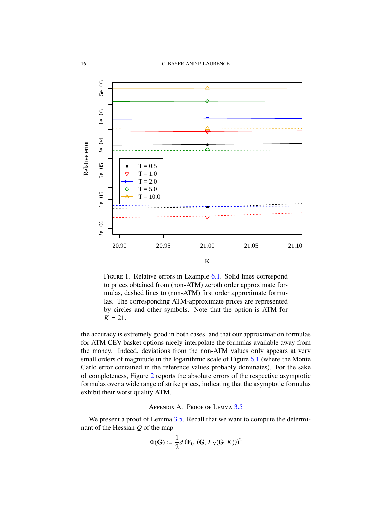

FIGURE 1. Relative errors in Example [6.1.](#page-14-0) Solid lines correspond to prices obtained from (non-ATM) zeroth order approximate formulas, dashed lines to (non-ATM) first order approximate formulas. The corresponding ATM-approximate prices are represented by circles and other symbols. Note that the option is ATM for  $K = 21$ .

the accuracy is extremely good in both cases, and that our approximation formulas for ATM CEV-basket options nicely interpolate the formulas available away from the money. Indeed, deviations from the non-ATM values only appears at very small orders of magnitude in the logarithmic scale of Figure [6.1](#page-14-2) (where the Monte Carlo error contained in the reference values probably dominates). For the sake of completeness, Figure [2](#page-16-0) reports the absolute errors of the respective asymptotic formulas over a wide range of strike prices, indicating that the asymptotic formulas exhibit their worst quality ATM.

### Appendix A. Proof of Lemma [3.5](#page-10-0)

We present a proof of Lemma [3.5.](#page-10-0) Recall that we want to compute the determinant of the Hessian *Q* of the map

$$
\Phi(\mathbf{G}) \coloneqq \frac{1}{2} d\left(\mathbf{F}_0, (\mathbf{G}, F_N(\mathbf{G}, K))\right)^2
$$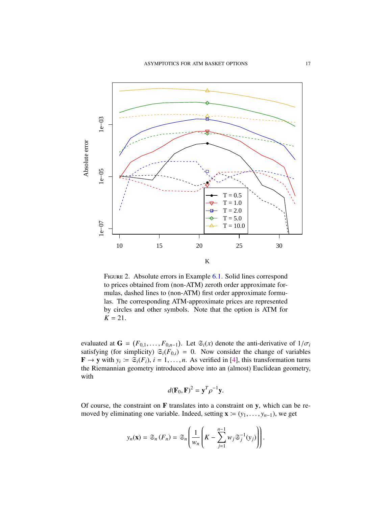

<span id="page-16-0"></span>Figure 2. Absolute errors in Example [6.1.](#page-14-0) Solid lines correspond to prices obtained from (non-ATM) zeroth order approximate formulas, dashed lines to (non-ATM) first order approximate formulas. The corresponding ATM-approximate prices are represented by circles and other symbols. Note that the option is ATM for  $K = 21$ .

evaluated at  $\mathbf{G} = (F_{0,1}, \dots, F_{0,n-1})$ . Let  $\mathfrak{S}_i(x)$  denote the anti-derivative of  $1/\sigma_i$  satisfying (for simplicity)  $\mathfrak{S}_i(F_{\infty}) = 0$ . Now consider the change of variables satisfying (for simplicity)  $\mathfrak{S}_i(F_{0,i}) = 0$ . Now consider the change of variables  $\mathbf{F} \to \mathbf{y}$  with  $y_i := \mathfrak{S}_i(F_i)$ ,  $i = 1, \dots, n$ . As verified in [\[4\]](#page-19-0), this transformation turns the Riemannian geometry introduced above into an (almost) Euclidean geometry, with

$$
d(\mathbf{F}_0, \mathbf{F})^2 = \mathbf{y}^T \rho^{-1} \mathbf{y}.
$$

Of course, the constraint on  $\bf{F}$  translates into a constraint on  $\bf{y}$ , which can be removed by eliminating one variable. Indeed, setting  $\mathbf{x} := (y_1, \ldots, y_{n-1})$ , we get

$$
y_n(\mathbf{x}) = \mathfrak{S}_n(F_n) = \mathfrak{S}_n\left(\frac{1}{w_n}\left(K - \sum_{j=1}^{n-1} w_j \mathfrak{S}_j^{-1}(y_j)\right)\right).
$$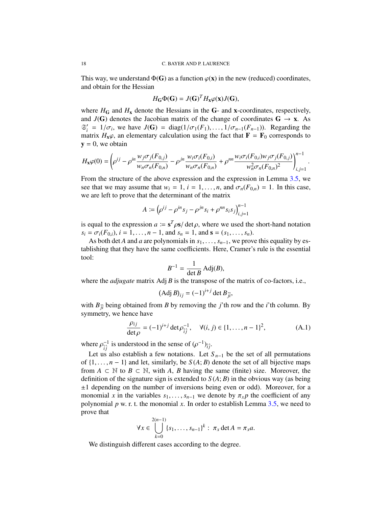This way, we understand  $\Phi(G)$  as a function  $\varphi(x)$  in the new (reduced) coordinates, and obtain for the Hessian

$$
H_{\mathbf{G}}\Phi(\mathbf{G}) = J(\mathbf{G})^T H_{\mathbf{x}} \varphi(\mathbf{x}) J(\mathbf{G}),
$$

where  $H_G$  and  $H_X$  denote the Hessians in the G- and x-coordinates, respectively, and *J*(G) denotes the Jacobian matrix of the change of coordinates  $G \rightarrow x$ . As  $\mathfrak{S}'_i = 1/\sigma_i$ , we have  $J(\mathbf{G}) = \text{diag}(1/\sigma_1(F_1), \dots, 1/\sigma_{n-1}(F_{n-1}))$ . Regarding the matrix *H*  $\alpha$  an elementary calculation using the fact that **F** – **F**<sub>0</sub> corresponds to matrix  $H_{\mathbf{x}}\varphi$ , an elementary calculation using the fact that  $\mathbf{F} = \mathbf{F}_0$  corresponds to  $y = 0$ , we obtain

$$
H_{\mathbf{x}}\varphi(0) = \left(\rho^{ij} - \rho^{in} \frac{w_j \sigma_j(F_{0,j})}{w_n \sigma_n(F_{0,n})} - \rho^{jn} \frac{w_i \sigma_i(F_{0,i})}{w_n \sigma_n(F_{0,n})} + \rho^{nn} \frac{w_i \sigma_i(F_{0,i}) w_j \sigma_j(F_{0,j})}{w_n^2 \sigma_n(F_{0,n})^2}\right)_{i,j=1}^{n-1}.
$$

From the structure of the above expression and the expression in Lemma [3.5,](#page-10-0) we see that we may assume that  $w_i = 1$ ,  $i = 1, \ldots, n$ , and  $\sigma_n(F_{0,n}) = 1$ . In this case, we are left to prove that the determinant of the matrix

$$
A := \left(\rho^{ij} - \rho^{in} s_j - \rho^{jn} s_i + \rho^{nn} s_i s_j\right)_{i,j=1}^{n-1}
$$

is equal to the expression  $a := s^T \rho s / \det \rho$ , where we used the short-hand notation<br> $s = \sigma f(s_0)$ ,  $i = 1$ , and  $s = 1$ , and  $s = (s_0, s_0)$  $s_i = \sigma_i(F_{0,i}), i = 1, \ldots, n-1$ , and  $s_n = 1$ , and  $\mathbf{s} = (s_1, \ldots, s_n)$ .

As both det *<sup>A</sup>* and *<sup>a</sup>* are polynomials in *<sup>s</sup>*1, . . . , *<sup>s</sup>n*−1, we prove this equality by establishing that they have the same coefficients. Here, Cramer's rule is the essential tool:

$$
B^{-1} = \frac{1}{\det B} \operatorname{Adj}(B),
$$

where the *adjugate* matrix Adj *B* is the transpose of the matrix of co-factors, i.e.,

$$
(\text{Adj }B)_{ij} = (-1)^{i+j} \det B_{\hat{j}\hat{i}},
$$

with  $B_{ji}$  being obtained from *B* by removing the *j*'th row and the *i*'th column. By symmetry, we hence have

$$
\frac{\rho_{ij}}{\det \rho} = (-1)^{i+j} \det \rho_{\hat{i}\hat{j}}^{-1}, \quad \forall (i, j) \in \{1, \dots, n-1\}^2,
$$
\n(A.1)

where  $\rho_{\hat{i}\hat{j}}^{-1}$  $\hat{i}_j^2$  is understood in the sense of  $(\rho^{-1})_{\hat{i}\hat{j}}$ .

Let us also establish a few notations. Let  $S_{n-1}$  be the set of all permutations of  $\{1, \ldots, n-1\}$  and let, similarly, be  $S(A; B)$  denote the set of all bijective maps from  $A \subset \mathbb{N}$  to  $B \subset \mathbb{N}$ , with A, B having the same (finite) size. Moreover, the definition of the signature sign is extended to  $S(A;B)$  in the obvious way (as being ±1 depending on the number of inversions being even or odd). Moreover, for a monomial *x* in the variables  $s_1, \ldots, s_{n-1}$  we denote by  $\pi_x p$  the coefficient of any polynomial *p* w. r. t. the monomial *x*. In order to establish Lemma [3.5,](#page-10-0) we need to prove that

$$
\forall x \in \bigcup_{k=0}^{2(n-1)} \{s_1,\ldots,s_{n-1}\}^k: \ \pi_x \det A = \pi_x a.
$$

We distinguish different cases according to the degree.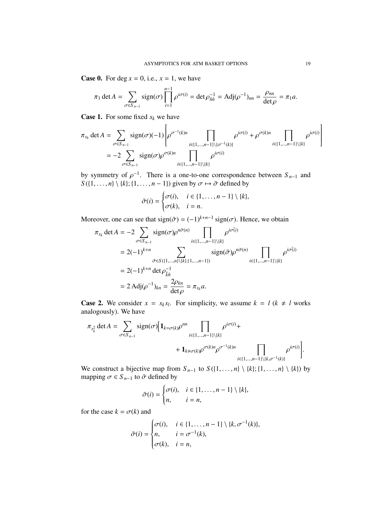**Case 0.** For deg  $x = 0$ , i.e.,  $x = 1$ , we have

 $\mathbf{r}$ 

$$
\pi_1 \det A = \sum_{\sigma \in S_{n-1}} sign(\sigma) \prod_{i=1}^{n-1} \rho^{i\sigma(i)} = \det \rho_{\hat{n}\hat{n}}^{-1} = Adj(\rho^{-1})_{nn} = \frac{\rho_{nn}}{\det \rho} = \pi_1 a.
$$

**Case 1.** For some fixed  $s_k$  we have

$$
\pi_{s_k} \det A = \sum_{\sigma \in S_{n-1}} \text{sign}(\sigma)(-1) \left[ \rho^{\sigma^{-1}(k)n} \prod_{i \in \{1, \dots, n-1\} \setminus \{\sigma^{-1}(k)\}} \rho^{i\sigma(i)} + \rho^{\sigma(k)n} \prod_{i \in \{1, \dots, n-1\} \setminus \{k\}} \rho^{i\sigma(i)} \right]
$$
  
= -2 \sum\_{\sigma \in S\_{n-1}} \text{sign}(\sigma) \rho^{\sigma(k)n} \prod\_{i \in \{1, \dots, n-1\} \setminus \{k\}} \rho^{i\sigma(i)}

by symmetry of  $\rho^{-1}$ . There is a one-to-one correspondence between  $S_{n-1}$  and  $S(1, n) \setminus \{k\} \setminus \{1, n-1\}$  given by  $\sigma \mapsto \tilde{\sigma}$  defined by  $S({1, \ldots, n} \setminus {k} ; {1, \ldots, n-1})$  given by  $\sigma \mapsto \tilde{\sigma}$  defined by

$$
\tilde{\sigma}(i) = \begin{cases} \sigma(i), & i \in \{1, \dots, n-1\} \setminus \{k\}, \\ \sigma(k), & i = n. \end{cases}
$$

Moreover, one can see that  $sign(\tilde{\sigma}) = (-1)^{k+n-1} sign(\sigma)$ . Hence, we obtain

$$
\pi_{s_k} \det A = -2 \sum_{\sigma \in S_{n-1}} \text{sign}(\sigma) \rho^{n\tilde{\sigma}(n)} \prod_{i \in \{1, \dots, n-1\} \setminus \{k\}} \rho^{i\sigma(i)}
$$
\n
$$
= 2(-1)^{k+n} \sum_{\tilde{\sigma} \in S(\{1, \dots, n\} \setminus \{k\}; \{1, \dots, n-1\})} \text{sign}(\tilde{\sigma}) \rho^{n\tilde{\sigma}(n)} \prod_{i \in \{1, \dots, n-1\} \setminus \{k\}} \rho^{i\sigma(i)}
$$
\n
$$
= 2(-1)^{k+n} \det \rho_{\hat{k}\hat{n}}^{-1}
$$
\n
$$
= 2 \text{Adj}(\rho^{-1})_{kn} = \frac{2\rho_{kn}}{\det \rho} = \pi_{s_k} a.
$$

**Case 2.** We consider  $x = s_k s_l$ . For simplicity, we assume  $k = l$  ( $k \neq l$  works analogously). We have

$$
\pi_{s_k^2} \det A = \sum_{\sigma \in S_{n-1}} \text{sign}(\sigma) \Big[ \mathbf{1}_{k=\sigma(k)} \rho^{nn} \prod_{i \in \{1,\dots,n-1\} \setminus \{k\}} \rho^{i\sigma(i)} + \\ + \mathbf{1}_{k \neq \sigma(k)} \rho^{\sigma(k)n} \rho^{\sigma^{-1}(k)n} \prod_{i \in \{1,\dots,n-1\} \setminus \{k,\sigma^{-1}(k)\}} \rho^{i\sigma(i)} \Big].
$$

We construct a bijective map from  $S_{n-1}$  to  $S({1, \ldots,n} \setminus \{k\}; {1, \ldots,n} \setminus \{k\})$  by mapping  $\sigma \in S_{n-1}$  to  $\tilde{\sigma}$  defined by

$$
\tilde{\sigma}(i) = \begin{cases} \sigma(i), & i \in \{1, \dots, n-1\} \setminus \{k\}, \\ n, & i = n, \end{cases}
$$

for the case  $k = \sigma(k)$  and

$$
\tilde{\sigma}(i) = \begin{cases}\n\sigma(i), & i \in \{1, \dots, n-1\} \setminus \{k, \sigma^{-1}(k)\}, \\
n, & i = \sigma^{-1}(k), \\
\sigma(k), & i = n,\n\end{cases}
$$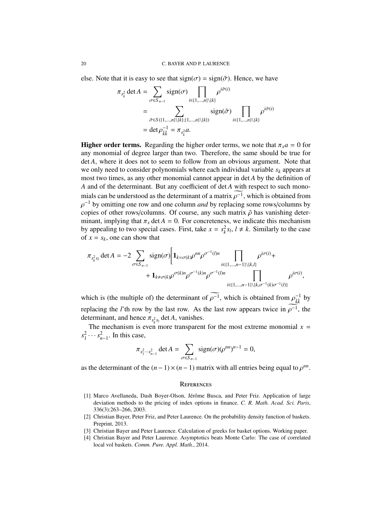else. Note that it is easy to see that  $sign(\sigma) = sign(\tilde{\sigma})$ . Hence, we have

$$
\pi_{s_k^2} \det A = \sum_{\sigma \in S_{n-1}} \text{sign}(\sigma) \prod_{i \in \{1, \dots, n\} \setminus \{k\}} \rho^{i\tilde{\sigma}(i)}
$$
\n
$$
= \sum_{\tilde{\sigma} \in S(\{1, \dots, n\} \setminus \{k\}; \{1, \dots, n\} \setminus \{k\})} \text{sign}(\tilde{\sigma}) \prod_{i \in \{1, \dots, n\} \setminus \{k\}} \rho^{i\tilde{\sigma}(i)}
$$
\n
$$
= \det \rho_{\hat{k}\hat{k}}^{-1} = \pi_{s_k^2} a.
$$

**Higher order terms.** Regarding the higher order terms, we note that  $\pi_x a = 0$  for any monomial of degree larger than two. Therefore, the same should be true for det *A*, where it does not to seem to follow from an obvious argument. Note that we only need to consider polynomials where each individual variable  $s_k$  appears at most two times, as any other monomial cannot appear in det *A* by the definition of *A* and of the determinant. But any coefficient of det *A* with respect to such monomials can be understood as the determinant of a matrix  $\rho^{-1}$ , which is obtained from  $\rho^{-1}$  by omitting one row and one column *and* by replacing some rows/columns by copies of other rows/columns. Of course, any such matrix  $\tilde{\rho}$  has vanishing deter-<br>minant implying that  $\pi$  det  $A = 0$ . For concreteness we indicate this mechanism  $\rho^{-1}$  by omitting one row and one column *and* by replacing some rows/columns by minant, implying that  $\pi_x$  det  $A = 0$ . For concreteness, we indicate this mechanism by appealing to two special cases. First, take  $x = s_k^2 s_l$ ,  $l \neq k$ . Similarly to the case of  $x = s_k$ , one can show that

$$
\pi_{s_k^2 s_l} \det A = -2 \sum_{\sigma \in S_{n-1}} \text{sign}(\sigma) \left[ \mathbf{1}_{k = \sigma(k)} \rho^{nn} \rho^{\sigma^{-1}(l)n} \prod_{i \in \{1, \dots, n-1\} \setminus \{k,l\}} \rho^{i\sigma(i)} + \\ + \mathbf{1}_{k \neq \sigma(k)} \rho^{\sigma(k)n} \rho^{\sigma^{-1}(k)n} \rho^{\sigma^{-1}(l)n} \prod_{i \in \{1, \dots, n-1\} \setminus \{k, \sigma^{-1}(k)\sigma^{-1}(l)\}} \rho^{i\sigma(i)}, \right]
$$

which is (the multiple of) the determinant of  $\rho^{-1}$ , which is obtained from  $\rho_{\hat{k}\hat{k}}^{-1}$  $\frac{-1}{\hat{k}\hat{k}}$  by replacing the *l*'th row by the last row. As the last row appears twice in  $\rho^{-1}$ , the determinant and hence  $\pi_{\rho}$ , det *A* vanishes determinant, and hence  $\pi_{s_k^2 s_l}$  det *A*, vanishes.<br>The mechanism is even more transported.

The mechanism is even more transparent for the most extreme monomial  $x =$  $s_1^2 \cdots s_{n-1}^2$ . In this case,

$$
\pi_{s_1^2 \cdots s_{n-1}^2} \det A = \sum_{\sigma \in S_{n-1}} sign(\sigma) (\rho^{nn})^{n-1} = 0,
$$

as the determinant of the  $(n-1) \times (n-1)$  matrix with all entries being equal to  $\rho^{nn}$ .

# **REFERENCES**

- <span id="page-19-1"></span>[1] Marco Avellaneda, Dash Boyer-Olson, Jérôme Busca, and Peter Friz. Application of large deviation methods to the pricing of index options in finance. *C. R. Math. Acad. Sci. Paris*, 336(3):263–266, 2003.
- <span id="page-19-3"></span>[2] Christian Bayer, Peter Friz, and Peter Laurence. On the probability density function of baskets. Preprint, 2013.
- <span id="page-19-2"></span>[3] Christian Bayer and Peter Laurence. Calculation of greeks for basket options. Working paper.
- <span id="page-19-0"></span>[4] Christian Bayer and Peter Laurence. Asymptotics beats Monte Carlo: The case of correlated local vol baskets. *Comm. Pure. Appl. Math.*, 2014.